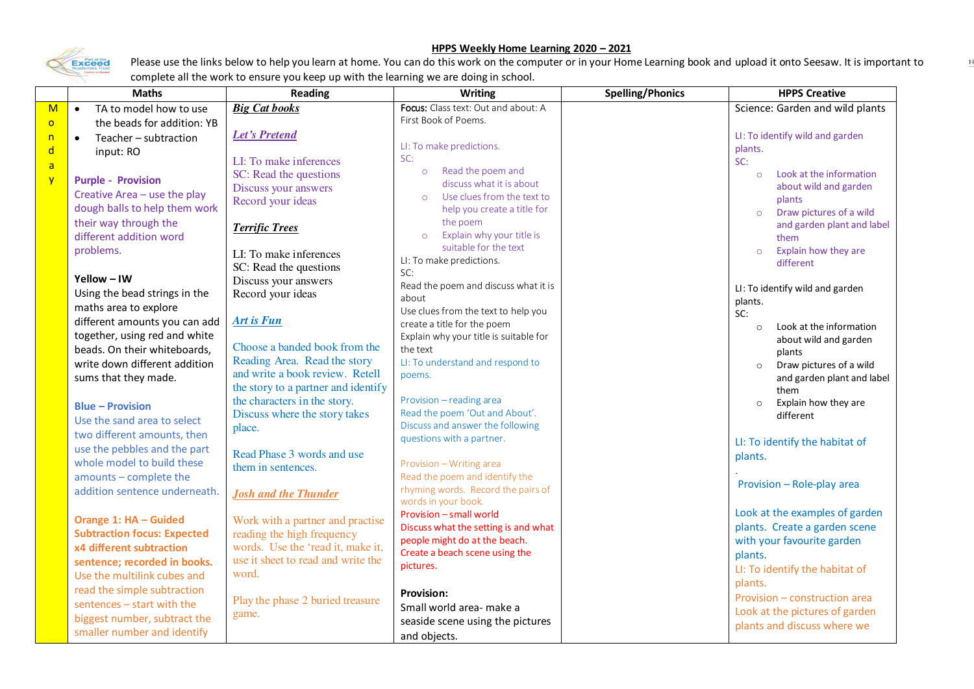## **HPPS Weekly Home Learning 2020 – 2021**



Please use the links below to help you learn at home. You can do this work on the computer or in your Home Learning book and upload it onto Seesaw. It is important to complete all the work to ensure you keep up with the learning we are doing in school.

| <b>Spelling/Phonics</b><br><b>Maths</b><br><b>Reading</b><br>Writing                                             | <b>HPPS Creative</b>            |
|------------------------------------------------------------------------------------------------------------------|---------------------------------|
| Focus: Class text: Out and about: A<br><b>Big Cat books</b><br>TA to model how to use<br>M<br>$\bullet$          | Science: Garden and wild plants |
| First Book of Poems.<br>the beads for addition: YB<br>$\overline{O}$                                             |                                 |
| <b>Let's Pretend</b><br>Teacher - subtraction<br>n<br>$\bullet$                                                  | LI: To identify wild and garden |
| LI: To make predictions.<br>plants.<br>d<br>input: RO                                                            |                                 |
| SC:<br>LI: To make inferences<br>SC:<br>$\mathsf{a}$                                                             |                                 |
| Read the poem and<br>$\circ$<br>SC: Read the questions<br>$\circ$<br>$\overline{Y}$<br><b>Purple - Provision</b> | Look at the information         |
| discuss what it is about<br>Discuss your answers<br>Creative Area - use the play                                 | about wild and garden           |
| Use clues from the text to<br>$\circ$<br>Record your ideas                                                       | plants                          |
| dough balls to help them work<br>help you create a title for<br>$\circ$<br>the poem                              | Draw pictures of a wild         |
| their way through the<br><b>Terrific Trees</b><br>Explain why your title is                                      | and garden plant and label      |
| different addition word<br>$\circ$<br>suitable for the text                                                      | them                            |
| problems.<br>$\circ$<br>LI: To make inferences<br>LI: To make predictions.                                       | Explain how they are            |
| SC: Read the questions<br>SC:                                                                                    | different                       |
| Yellow - IW<br>Discuss your answers<br>Read the poem and discuss what it is                                      |                                 |
| Record your ideas<br>Using the bead strings in the<br>about<br>plants.                                           | LI: To identify wild and garden |
| maths area to explore<br>Use clues from the text to help you<br>SC:                                              |                                 |
| <b>Art is Fun</b><br>different amounts you can add<br>create a title for the poem<br>$\circ$                     | Look at the information         |
| together, using red and white<br>Explain why your title is suitable for                                          | about wild and garden           |
| Choose a banded book from the<br>beads. On their whiteboards,<br>the text                                        | plants                          |
| Reading Area. Read the story<br>LI: To understand and respond to<br>write down different addition                | Draw pictures of a wild         |
| and write a book review. Retell<br>poems.<br>sums that they made.                                                | and garden plant and label      |
| the story to a partner and identify                                                                              | them                            |
| Provision - reading area<br>the characters in the story.<br>$\circ$<br><b>Blue - Provision</b>                   | Explain how they are            |
| Read the poem 'Out and About'.<br>Discuss where the story takes<br>Use the sand area to select                   | different                       |
| Discuss and answer the following<br>place.<br>two different amounts, then                                        |                                 |
| questions with a partner.<br>use the pebbles and the part                                                        | LI: To identify the habitat of  |
| Read Phase 3 words and use<br>plants.<br>whole model to build these                                              |                                 |
| Provision - Writing area<br>them in sentences.<br>Read the poem and identify the<br>amounts - complete the       |                                 |
| rhyming words. Record the pairs of                                                                               | Provision - Role-play area      |
| addition sentence underneath.<br><b>Josh and the Thunder</b><br>words in your book.                              |                                 |
| Provision - small world                                                                                          | Look at the examples of garden  |
| Orange 1: HA - Guided<br>Work with a partner and practise<br>Discuss what the setting is and what                | plants. Create a garden scene   |
| <b>Subtraction focus: Expected</b><br>reading the high frequency<br>people might do at the beach.                | with your favourite garden      |
| words. Use the 'read it, make it,<br>x4 different subtraction<br>Create a beach scene using the<br>plants.       |                                 |
| use it sheet to read and write the<br>sentence; recorded in books.<br>pictures.                                  | LI: To identify the habitat of  |
| word.<br>Use the multilink cubes and<br>plants.                                                                  |                                 |
| read the simple subtraction<br><b>Provision:</b>                                                                 | Provision - construction area   |
| Play the phase 2 buried treasure<br>sentences - start with the<br>Small world area- make a                       |                                 |
| game.<br>biggest number, subtract the<br>seaside scene using the pictures                                        | Look at the pictures of garden  |
| smaller number and identify<br>and objects.                                                                      | plants and discuss where we     |

 $\mathbf{F}$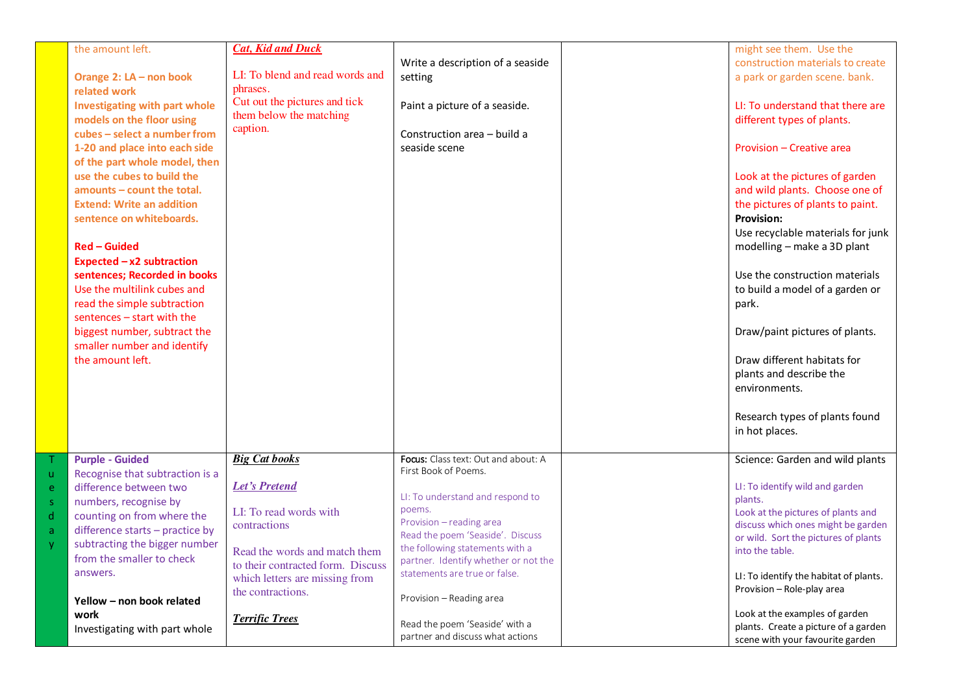|              | the amount left.                     | <b>Cat, Kid and Duck</b>          |                                      | might see them. Use the                |
|--------------|--------------------------------------|-----------------------------------|--------------------------------------|----------------------------------------|
|              |                                      |                                   |                                      |                                        |
|              |                                      | LI: To blend and read words and   | Write a description of a seaside     | construction materials to create       |
|              | Orange 2: LA - non book              | phrases.                          | setting                              | a park or garden scene. bank.          |
|              | related work                         |                                   |                                      |                                        |
|              | <b>Investigating with part whole</b> | Cut out the pictures and tick     | Paint a picture of a seaside.        | LI: To understand that there are       |
|              | models on the floor using            | them below the matching           |                                      | different types of plants.             |
|              | cubes - select a number from         | caption.                          | Construction area - build a          |                                        |
|              | 1-20 and place into each side        |                                   | seaside scene                        | Provision - Creative area              |
|              | of the part whole model, then        |                                   |                                      |                                        |
|              | use the cubes to build the           |                                   |                                      | Look at the pictures of garden         |
|              | $amounts - count$ the total.         |                                   |                                      | and wild plants. Choose one of         |
|              |                                      |                                   |                                      |                                        |
|              | <b>Extend: Write an addition</b>     |                                   |                                      | the pictures of plants to paint.       |
|              | sentence on whiteboards.             |                                   |                                      | <b>Provision:</b>                      |
|              |                                      |                                   |                                      | Use recyclable materials for junk      |
|              | <b>Red – Guided</b>                  |                                   |                                      | modelling - make a 3D plant            |
|              | Expected $-x2$ subtraction           |                                   |                                      |                                        |
|              | sentences; Recorded in books         |                                   |                                      | Use the construction materials         |
|              | Use the multilink cubes and          |                                   |                                      | to build a model of a garden or        |
|              | read the simple subtraction          |                                   |                                      | park.                                  |
|              | sentences - start with the           |                                   |                                      |                                        |
|              | biggest number, subtract the         |                                   |                                      | Draw/paint pictures of plants.         |
|              | smaller number and identify          |                                   |                                      |                                        |
|              | the amount left.                     |                                   |                                      | Draw different habitats for            |
|              |                                      |                                   |                                      | plants and describe the                |
|              |                                      |                                   |                                      | environments.                          |
|              |                                      |                                   |                                      |                                        |
|              |                                      |                                   |                                      |                                        |
|              |                                      |                                   |                                      | Research types of plants found         |
|              |                                      |                                   |                                      | in hot places.                         |
|              |                                      |                                   |                                      |                                        |
|              | <b>Purple - Guided</b>               | <b>Big Cat books</b>              | Focus: Class text: Out and about: A  | Science: Garden and wild plants        |
| $\mathsf{u}$ | Recognise that subtraction is a      |                                   | First Book of Poems.                 |                                        |
| e            | difference between two               | <b>Let's Pretend</b>              |                                      | LI: To identify wild and garden        |
| $\mathsf S$  | numbers, recognise by                |                                   | LI: To understand and respond to     | plants.                                |
| $\sf d$      | counting on from where the           | LI: To read words with            | poems.<br>Provision - reading area   | Look at the pictures of plants and     |
| a            | difference starts - practice by      | contractions                      | Read the poem 'Seaside'. Discuss     | discuss which ones might be garden     |
| <b>y</b>     | subtracting the bigger number        |                                   | the following statements with a      | or wild. Sort the pictures of plants   |
|              | from the smaller to check            | Read the words and match them     | partner. Identify whether or not the | into the table.                        |
|              | answers.                             | to their contracted form. Discuss | statements are true or false.        |                                        |
|              |                                      | which letters are missing from    |                                      | LI: To identify the habitat of plants. |
|              | Yellow - non book related            | the contractions.                 | Provision - Reading area             | Provision - Role-play area             |
|              |                                      |                                   |                                      | Look at the examples of garden         |
|              | work                                 | <b>Terrific Trees</b>             | Read the poem 'Seaside' with a       | plants. Create a picture of a garden   |
|              | Investigating with part whole        |                                   | partner and discuss what actions     | scene with your favourite garden       |
|              |                                      |                                   |                                      |                                        |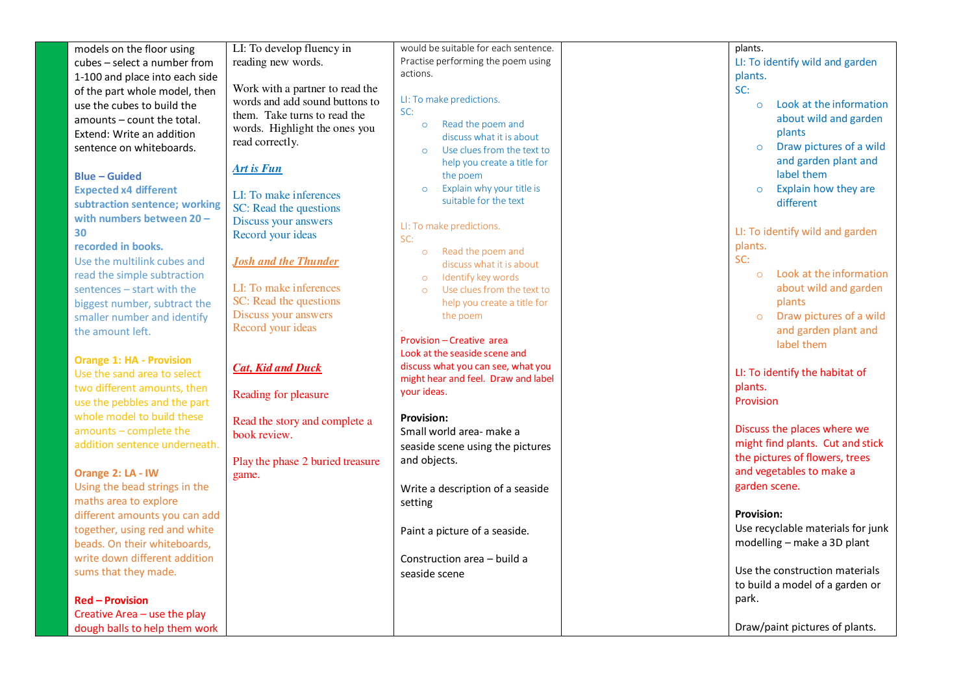| models on the floor using       | LI: To develop fluency in        | would be suitable for each sentence.   | plants.                            |
|---------------------------------|----------------------------------|----------------------------------------|------------------------------------|
| cubes - select a number from    | reading new words.               | Practise performing the poem using     | LI: To identify wild and garden    |
| 1-100 and place into each side  |                                  | actions.                               | plants.                            |
| of the part whole model, then   | Work with a partner to read the  |                                        | SC:                                |
| use the cubes to build the      | words and add sound buttons to   | LI: To make predictions.               | Look at the information<br>$\circ$ |
|                                 | them. Take turns to read the     | SC:                                    |                                    |
| amounts – count the total.      | words. Highlight the ones you    | Read the poem and<br>$\circ$           | about wild and garden              |
| Extend: Write an addition       | read correctly.                  | discuss what it is about               | plants                             |
| sentence on whiteboards.        |                                  | Use clues from the text to<br>$\Omega$ | Draw pictures of a wild<br>$\circ$ |
|                                 |                                  | help you create a title for            | and garden plant and               |
| <b>Blue - Guided</b>            | <b>Art is Fun</b>                | the poem                               | label them                         |
| <b>Expected x4 different</b>    |                                  | Explain why your title is<br>$\circ$   | Explain how they are<br>$\circ$    |
| subtraction sentence; working   | LI: To make inferences           | suitable for the text                  | different                          |
| with numbers between 20-        | SC: Read the questions           |                                        |                                    |
|                                 | Discuss your answers             | LI: To make predictions.               | LI: To identify wild and garden    |
| 30                              | Record your ideas                | SC:                                    |                                    |
| recorded in books.              |                                  | Read the poem and<br>$\circ$           | plants.                            |
| Use the multilink cubes and     | <b>Josh and the Thunder</b>      | discuss what it is about               | SC:                                |
| read the simple subtraction     |                                  | Identify key words<br>$\circ$          | Look at the information<br>$\circ$ |
| sentences - start with the      | LI: To make inferences           | Use clues from the text to<br>$\circ$  | about wild and garden              |
| biggest number, subtract the    | SC: Read the questions           | help you create a title for            | plants                             |
| smaller number and identify     | Discuss your answers             | the poem                               | Draw pictures of a wild<br>$\circ$ |
| the amount left.                | Record your ideas                |                                        | and garden plant and               |
|                                 |                                  | Provision - Creative area              | label them                         |
|                                 |                                  | Look at the seaside scene and          |                                    |
| <b>Orange 1: HA - Provision</b> | <b>Cat, Kid and Duck</b>         | discuss what you can see, what you     |                                    |
| Use the sand area to select     |                                  | might hear and feel. Draw and label    | LI: To identify the habitat of     |
| two different amounts, then     | Reading for pleasure             | your ideas.                            | plants.                            |
| use the pebbles and the part    |                                  |                                        | Provision                          |
| whole model to build these      |                                  | <b>Provision:</b>                      |                                    |
| amounts - complete the          | Read the story and complete a    | Small world area- make a               | Discuss the places where we        |
| addition sentence underneath.   | book review.                     |                                        | might find plants. Cut and stick   |
|                                 |                                  | seaside scene using the pictures       | the pictures of flowers, trees     |
|                                 | Play the phase 2 buried treasure | and objects.                           | and vegetables to make a           |
| Orange 2: LA - IW               | game.                            |                                        |                                    |
| Using the bead strings in the   |                                  | Write a description of a seaside       | garden scene.                      |
| maths area to explore           |                                  | setting                                |                                    |
| different amounts you can add   |                                  |                                        | <b>Provision:</b>                  |
| together, using red and white   |                                  | Paint a picture of a seaside.          | Use recyclable materials for junk  |
| beads. On their whiteboards,    |                                  |                                        | modelling - make a 3D plant        |
| write down different addition   |                                  | Construction area - build a            |                                    |
| sums that they made.            |                                  | seaside scene                          | Use the construction materials     |
|                                 |                                  |                                        | to build a model of a garden or    |
|                                 |                                  |                                        | park.                              |
| <b>Red - Provision</b>          |                                  |                                        |                                    |
| Creative Area - use the play    |                                  |                                        |                                    |
| dough balls to help them work   |                                  |                                        | Draw/paint pictures of plants.     |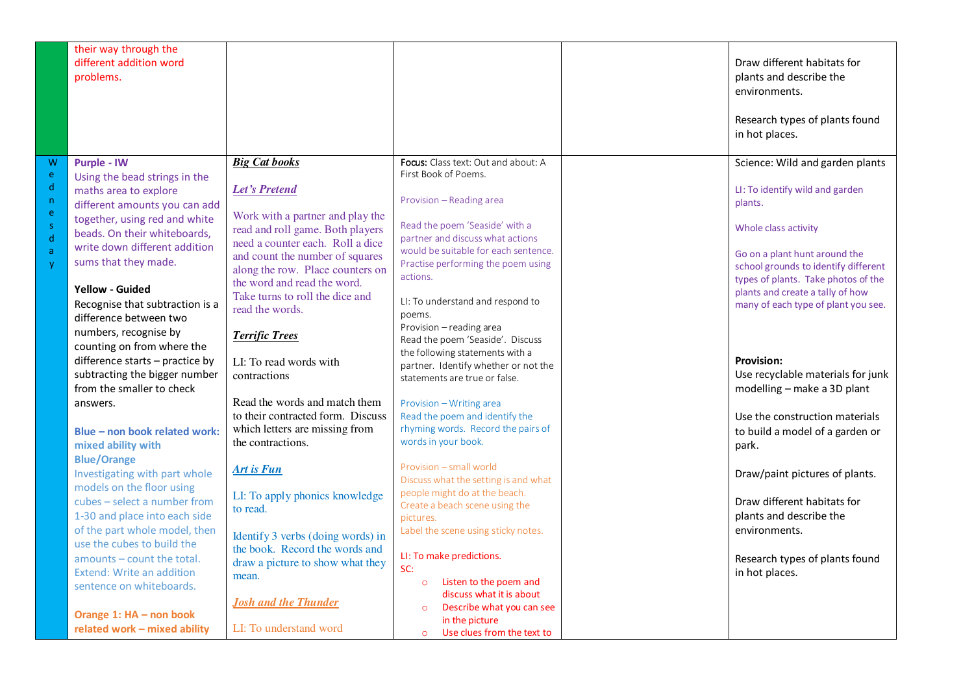|                                       | their way through the<br>different addition word<br>problems.                                                                                                                                                                                                                                                                                           |                                                                                                                                                                                                                                                                                                                                               |                                                                                                                                                                                                                                                                                                                                                                       | Draw different habitats for<br>plants and describe the<br>environments.<br>Research types of plants found<br>in hot places.                                                                                                                                                                      |
|---------------------------------------|---------------------------------------------------------------------------------------------------------------------------------------------------------------------------------------------------------------------------------------------------------------------------------------------------------------------------------------------------------|-----------------------------------------------------------------------------------------------------------------------------------------------------------------------------------------------------------------------------------------------------------------------------------------------------------------------------------------------|-----------------------------------------------------------------------------------------------------------------------------------------------------------------------------------------------------------------------------------------------------------------------------------------------------------------------------------------------------------------------|--------------------------------------------------------------------------------------------------------------------------------------------------------------------------------------------------------------------------------------------------------------------------------------------------|
| W<br>e<br>d<br>n,<br>e<br>s<br>ď<br>a | <b>Purple - IW</b><br>Using the bead strings in the<br>maths area to explore<br>different amounts you can add<br>together, using red and white<br>beads. On their whiteboards,<br>write down different addition<br>sums that they made.<br><b>Yellow - Guided</b><br>Recognise that subtraction is a<br>difference between two<br>numbers, recognise by | <b>Big Cat books</b><br><b>Let's Pretend</b><br>Work with a partner and play the<br>read and roll game. Both players<br>need a counter each. Roll a dice<br>and count the number of squares<br>along the row. Place counters on<br>the word and read the word.<br>Take turns to roll the dice and<br>read the words.<br><b>Terrific Trees</b> | Focus: Class text: Out and about: A<br>First Book of Poems.<br>Provision - Reading area<br>Read the poem 'Seaside' with a<br>partner and discuss what actions<br>would be suitable for each sentence.<br>Practise performing the poem using<br>actions.<br>LI: To understand and respond to<br>poems.<br>Provision - reading area<br>Read the poem 'Seaside'. Discuss | Science: Wild and garden plants<br>LI: To identify wild and garden<br>plants.<br>Whole class activity<br>Go on a plant hunt around the<br>school grounds to identify different<br>types of plants. Take photos of the<br>plants and create a tally of how<br>many of each type of plant you see. |
|                                       | counting on from where the<br>difference starts - practice by<br>subtracting the bigger number<br>from the smaller to check                                                                                                                                                                                                                             | LI: To read words with<br>contractions                                                                                                                                                                                                                                                                                                        | the following statements with a<br>partner. Identify whether or not the<br>statements are true or false.                                                                                                                                                                                                                                                              | <b>Provision:</b><br>Use recyclable materials for junk<br>modelling - make a 3D plant                                                                                                                                                                                                            |
|                                       | answers.<br>Blue - non book related work:<br>mixed ability with                                                                                                                                                                                                                                                                                         | Read the words and match them<br>to their contracted form. Discuss<br>which letters are missing from<br>the contractions.                                                                                                                                                                                                                     | Provision - Writing area<br>Read the poem and identify the<br>rhyming words. Record the pairs of<br>words in your book.                                                                                                                                                                                                                                               | Use the construction materials<br>to build a model of a garden or<br>park.                                                                                                                                                                                                                       |
|                                       | <b>Blue/Orange</b><br>Investigating with part whole<br>models on the floor using<br>cubes - select a number from<br>1-30 and place into each side                                                                                                                                                                                                       | <b>Art is Fun</b><br>LI: To apply phonics knowledge<br>to read.                                                                                                                                                                                                                                                                               | Provision - small world<br>Discuss what the setting is and what<br>people might do at the beach.<br>Create a beach scene using the<br>pictures.                                                                                                                                                                                                                       | Draw/paint pictures of plants.<br>Draw different habitats for<br>plants and describe the                                                                                                                                                                                                         |
|                                       | of the part whole model, then<br>use the cubes to build the<br>amounts - count the total.<br>Extend: Write an addition<br>sentence on whiteboards.<br>Orange 1: HA - non book<br>related work - mixed ability                                                                                                                                           | Identify 3 verbs (doing words) in<br>the book. Record the words and<br>draw a picture to show what they<br>mean.<br><b>Josh and the Thunder</b><br>LI: To understand word                                                                                                                                                                     | Label the scene using sticky notes.<br>LI: To make predictions.<br>SC:<br>Listen to the poem and<br>$\circ$<br>discuss what it is about<br>Describe what you can see<br>$\circ$<br>in the picture<br>Use clues from the text to<br>$\circ$                                                                                                                            | environments.<br>Research types of plants found<br>in hot places.                                                                                                                                                                                                                                |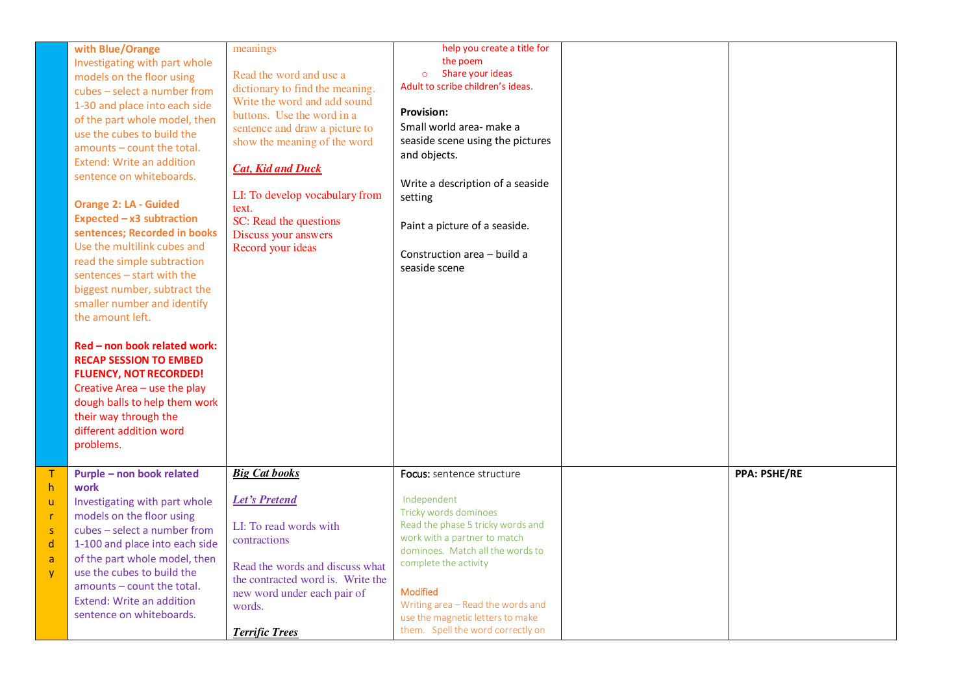|                                        | with Blue/Orange<br>Investigating with part whole<br>models on the floor using<br>cubes - select a number from<br>1-30 and place into each side<br>of the part whole model, then<br>use the cubes to build the<br>amounts - count the total.<br>Extend: Write an addition<br>sentence on whiteboards.<br><b>Orange 2: LA - Guided</b><br>Expected $-x3$ subtraction<br>sentences; Recorded in books<br>Use the multilink cubes and<br>read the simple subtraction<br>sentences - start with the<br>biggest number, subtract the<br>smaller number and identify<br>the amount left.<br>Red - non book related work:<br><b>RECAP SESSION TO EMBED</b><br><b>FLUENCY, NOT RECORDED!</b><br>Creative Area - use the play<br>dough balls to help them work<br>their way through the<br>different addition word<br>problems. | meanings<br>Read the word and use a<br>dictionary to find the meaning.<br>Write the word and add sound<br>buttons. Use the word in a<br>sentence and draw a picture to<br>show the meaning of the word<br><b>Cat, Kid and Duck</b><br>LI: To develop vocabulary from<br>text.<br>SC: Read the questions<br>Discuss your answers<br>Record your ideas | help you create a title for<br>the poem<br>Share your ideas<br>$\circ$<br>Adult to scribe children's ideas.<br><b>Provision:</b><br>Small world area- make a<br>seaside scene using the pictures<br>and objects.<br>Write a description of a seaside<br>setting<br>Paint a picture of a seaside.<br>Construction area - build a<br>seaside scene |                     |
|----------------------------------------|------------------------------------------------------------------------------------------------------------------------------------------------------------------------------------------------------------------------------------------------------------------------------------------------------------------------------------------------------------------------------------------------------------------------------------------------------------------------------------------------------------------------------------------------------------------------------------------------------------------------------------------------------------------------------------------------------------------------------------------------------------------------------------------------------------------------|------------------------------------------------------------------------------------------------------------------------------------------------------------------------------------------------------------------------------------------------------------------------------------------------------------------------------------------------------|--------------------------------------------------------------------------------------------------------------------------------------------------------------------------------------------------------------------------------------------------------------------------------------------------------------------------------------------------|---------------------|
| T.<br>h<br>ū.<br>r<br>s<br>d<br>a<br>ÿ | Purple - non book related<br>work<br>Investigating with part whole<br>models on the floor using<br>cubes - select a number from<br>1-100 and place into each side<br>of the part whole model, then<br>use the cubes to build the<br>amounts - count the total.<br>Extend: Write an addition<br>sentence on whiteboards.                                                                                                                                                                                                                                                                                                                                                                                                                                                                                                | <b>Big Cat books</b><br><b>Let's Pretend</b><br>LI: To read words with<br>contractions<br>Read the words and discuss what<br>the contracted word is. Write the<br>new word under each pair of<br>words.<br><b>Terrific Trees</b>                                                                                                                     | Focus: sentence structure<br>Independent<br>Tricky words dominoes<br>Read the phase 5 tricky words and<br>work with a partner to match<br>dominoes. Match all the words to<br>complete the activity<br><b>Modified</b><br>Writing area - Read the words and<br>use the magnetic letters to make<br>them. Spell the word correctly on             | <b>PPA: PSHE/RE</b> |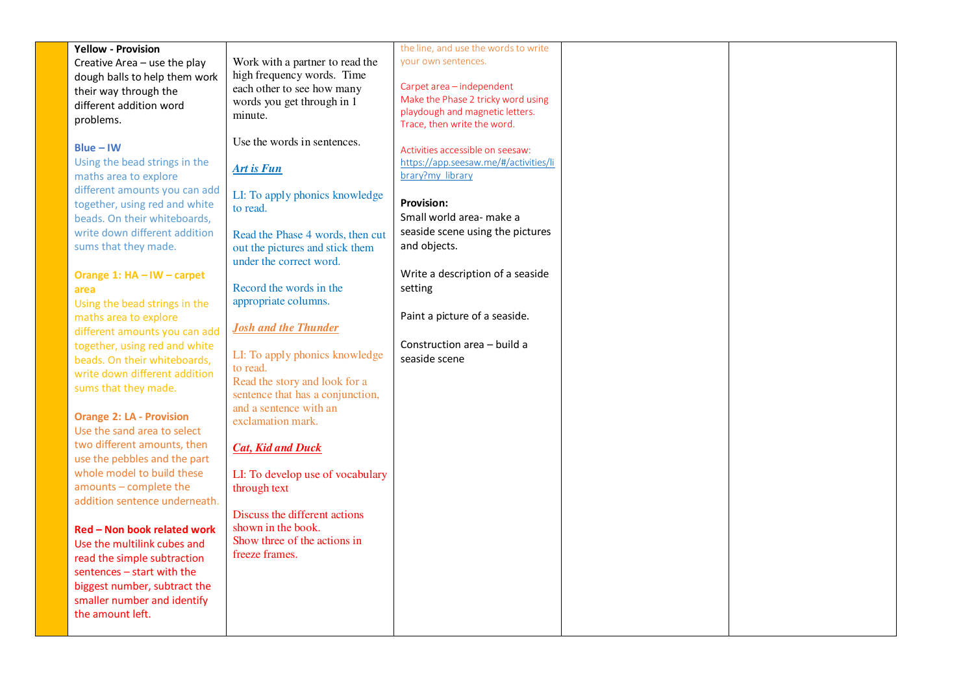|                                 |                                  | the line, and use the words to write                                  |  |
|---------------------------------|----------------------------------|-----------------------------------------------------------------------|--|
| <b>Yellow - Provision</b>       |                                  | your own sentences.                                                   |  |
| Creative Area - use the play    | Work with a partner to read the  |                                                                       |  |
| dough balls to help them work   | high frequency words. Time       |                                                                       |  |
| their way through the           | each other to see how many       | Carpet area - independent                                             |  |
| different addition word         | words you get through in 1       | Make the Phase 2 tricky word using<br>playdough and magnetic letters. |  |
| problems.                       | minute.                          |                                                                       |  |
|                                 |                                  | Trace, then write the word.                                           |  |
| $Blue - IW$                     | Use the words in sentences.      | Activities accessible on seesaw:                                      |  |
|                                 |                                  |                                                                       |  |
| Using the bead strings in the   | <b>Art is Fun</b>                | https://app.seesaw.me/#/activities/li                                 |  |
| maths area to explore           |                                  | brary?my library                                                      |  |
| different amounts you can add   | LI: To apply phonics knowledge   |                                                                       |  |
| together, using red and white   | to read.                         | <b>Provision:</b>                                                     |  |
| beads. On their whiteboards,    |                                  | Small world area- make a                                              |  |
| write down different addition   | Read the Phase 4 words, then cut | seaside scene using the pictures                                      |  |
| sums that they made.            | out the pictures and stick them  | and objects.                                                          |  |
|                                 | under the correct word.          |                                                                       |  |
|                                 |                                  | Write a description of a seaside                                      |  |
| Orange 1: HA - IW - carpet      |                                  |                                                                       |  |
| area                            | Record the words in the          | setting                                                               |  |
| Using the bead strings in the   | appropriate columns.             |                                                                       |  |
| maths area to explore           |                                  | Paint a picture of a seaside.                                         |  |
| different amounts you can add   | <b>Josh and the Thunder</b>      |                                                                       |  |
| together, using red and white   |                                  | Construction area - build a                                           |  |
| beads. On their whiteboards,    | LI: To apply phonics knowledge   | seaside scene                                                         |  |
| write down different addition   | to read.                         |                                                                       |  |
|                                 | Read the story and look for a    |                                                                       |  |
| sums that they made.            | sentence that has a conjunction, |                                                                       |  |
|                                 | and a sentence with an           |                                                                       |  |
| <b>Orange 2: LA - Provision</b> | exclamation mark.                |                                                                       |  |
| Use the sand area to select     |                                  |                                                                       |  |
| two different amounts, then     | <b>Cat, Kid and Duck</b>         |                                                                       |  |
| use the pebbles and the part    |                                  |                                                                       |  |
| whole model to build these      | LI: To develop use of vocabulary |                                                                       |  |
| amounts - complete the          | through text                     |                                                                       |  |
|                                 |                                  |                                                                       |  |
| addition sentence underneath.   |                                  |                                                                       |  |
|                                 | Discuss the different actions    |                                                                       |  |
| Red - Non book related work     | shown in the book.               |                                                                       |  |
| Use the multilink cubes and     | Show three of the actions in     |                                                                       |  |
| read the simple subtraction     | freeze frames.                   |                                                                       |  |
| sentences - start with the      |                                  |                                                                       |  |
| biggest number, subtract the    |                                  |                                                                       |  |
| smaller number and identify     |                                  |                                                                       |  |
| the amount left.                |                                  |                                                                       |  |
|                                 |                                  |                                                                       |  |
|                                 |                                  |                                                                       |  |